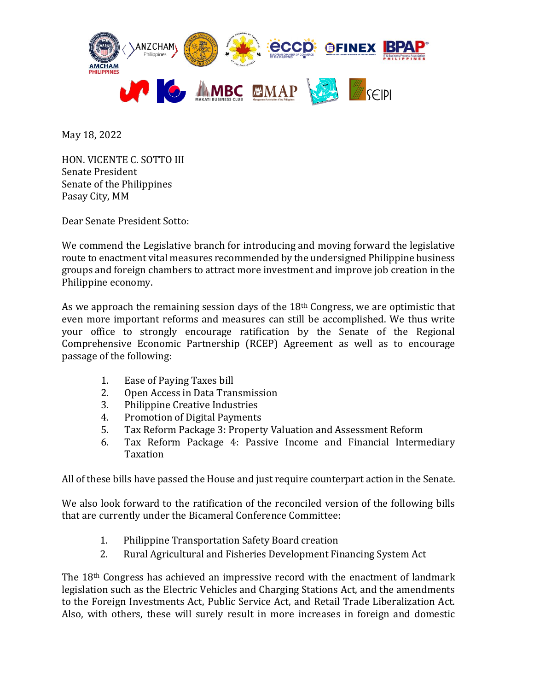

May 18, 2022

HON. VICENTE C. SOTTO III Senate President Senate of the Philippines Pasay City, MM

Dear Senate President Sotto:

We commend the Legislative branch for introducing and moving forward the legislative route to enactment vital measures recommended by the undersigned Philippine business groups and foreign chambers to attract more investment and improve job creation in the Philippine economy.

As we approach the remaining session days of the 18<sup>th</sup> Congress, we are optimistic that even more important reforms and measures can still be accomplished. We thus write your office to strongly encourage ratification by the Senate of the Regional Comprehensive Economic Partnership (RCEP) Agreement as well as to encourage passage of the following:

- 1. Ease of Paying Taxes bill
- 2. Open Access in Data Transmission
- 3. Philippine Creative Industries
- 4. Promotion of Digital Payments
- 5. Tax Reform Package 3: Property Valuation and Assessment Reform
- 6. Tax Reform Package 4: Passive Income and Financial Intermediary Taxation

All of these bills have passed the House and just require counterpart action in the Senate.

We also look forward to the ratification of the reconciled version of the following bills that are currently under the Bicameral Conference Committee:

- 1. Philippine Transportation Safety Board creation
- 2. Rural Agricultural and Fisheries Development Financing System Act

The 18th Congress has achieved an impressive record with the enactment of landmark legislation such as the Electric Vehicles and Charging Stations Act, and the amendments to the Foreign Investments Act, Public Service Act, and Retail Trade Liberalization Act. Also, with others, these will surely result in more increases in foreign and domestic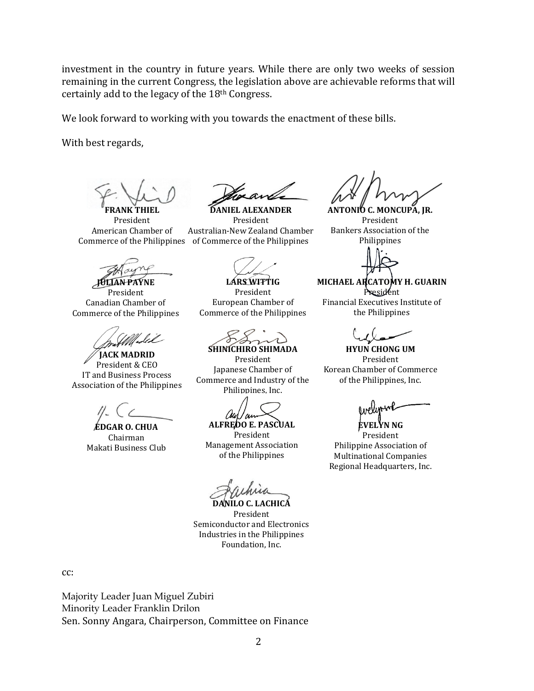investment in the country in future years. While there are only two weeks of session remaining in the current Congress, the legislation above are achievable reforms that will certainly add to the legacy of the 18th Congress.

We look forward to working with you towards the enactment of these bills.

With best regards,

**FRANK THIEL** President American Chamber of

**JULIAN PAYNE**

President Canadian Chamber of Commerce of the Philippines

**JACK MADRID** President & CEO IT and Business Process Association of the Philippines

**EDGAR O. CHUA** Chairman Makati Business Club

**DANIEL ALEXANDER** President Australian-New Zealand Chamber Commerce of the Philippines of Commerce of the Philippines

**LARS WITTIG** President European Chamber of Commerce of the Philippines

**SHINICHIRO SHIMADA**

President Japanese Chamber of Commerce and Industry of the Philippines, Inc.

Coup ' ou

**ALFREDO E. PASCUAL** President

Management Association of the Philippines

**DANILO C. LACHICA** President Semiconductor and Electronics Industries in the Philippines Foundation, Inc.

**ANTONIO C. MONCUPA, JR.** President Bankers Association of the Philippines

**MICHAEL ARCATOMY H. GUARIN** President

Financial Executives Institute of the Philippines

**HYUN CHONG UM** President Korean Chamber of Commerce of the Philippines, Inc.

**EVELYN NG**

President Philippine Association of Multinational Companies Regional Headquarters, Inc.

cc:

Majority Leader Juan Miguel Zubiri Minority Leader Franklin Drilon Sen. Sonny Angara, Chairperson, Committee on Finance